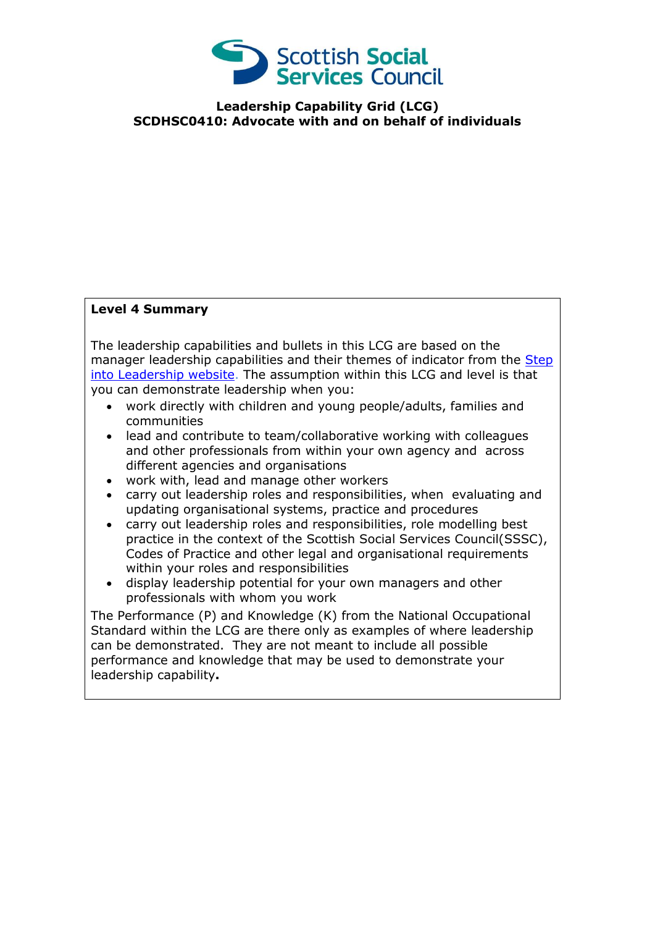

**Leadership Capability Grid (LCG) SCDHSC0410: Advocate with and on behalf of individuals**

## **Level 4 Summary**

The leadership capabilities and bullets in this LCG are based on the manager leadership capabilities and their themes of indicator from the Step [into Leadership website.](http://www.stepintoleadership.info/) The assumption within this LCG and level is that you can demonstrate leadership when you:

- work directly with children and young people/adults, families and communities
- lead and contribute to team/collaborative working with colleagues and other professionals from within your own agency and across different agencies and organisations
- work with, lead and manage other workers
- carry out leadership roles and responsibilities, when evaluating and updating organisational systems, practice and procedures
- carry out leadership roles and responsibilities, role modelling best practice in the context of the Scottish Social Services Council(SSSC), Codes of Practice and other legal and organisational requirements within your roles and responsibilities
- display leadership potential for your own managers and other professionals with whom you work

The Performance (P) and Knowledge (K) from the National Occupational Standard within the LCG are there only as examples of where leadership can be demonstrated. They are not meant to include all possible performance and knowledge that may be used to demonstrate your leadership capability**.**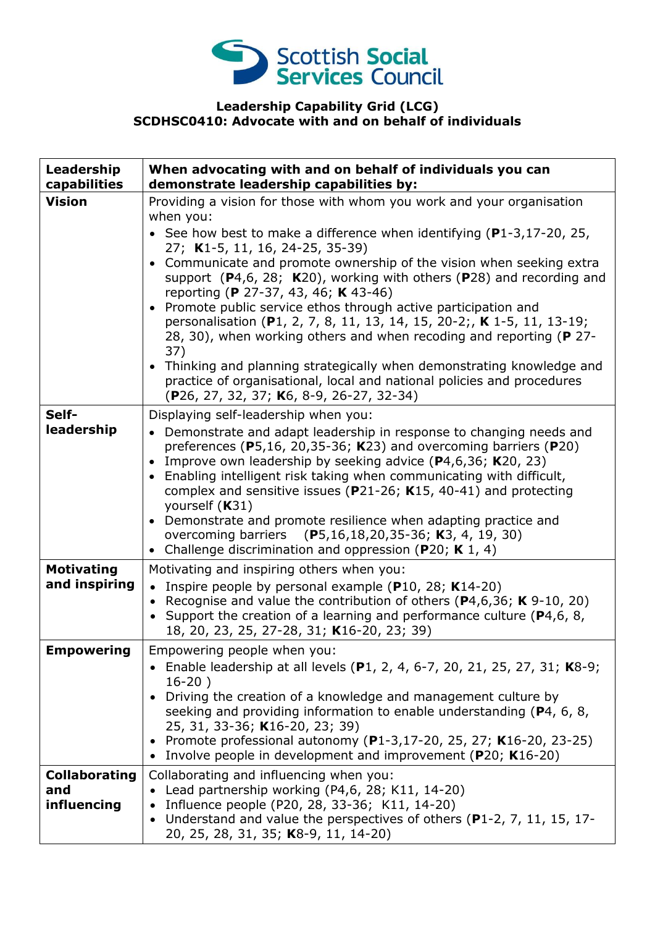

## **Leadership Capability Grid (LCG) SCDHSC0410: Advocate with and on behalf of individuals**

| Leadership<br>capabilities                 | When advocating with and on behalf of individuals you can<br>demonstrate leadership capabilities by:                                                                                                                                                                                                                                                                                                                                                                                                                                                                                                                                                                                                                                                                                                                  |
|--------------------------------------------|-----------------------------------------------------------------------------------------------------------------------------------------------------------------------------------------------------------------------------------------------------------------------------------------------------------------------------------------------------------------------------------------------------------------------------------------------------------------------------------------------------------------------------------------------------------------------------------------------------------------------------------------------------------------------------------------------------------------------------------------------------------------------------------------------------------------------|
| <b>Vision</b>                              | Providing a vision for those with whom you work and your organisation<br>when you:<br>• See how best to make a difference when identifying $(P1-3, 17-20, 25,$<br>27; K1-5, 11, 16, 24-25, 35-39)<br>Communicate and promote ownership of the vision when seeking extra<br>support $(P4,6, 28; K20)$ , working with others $(P28)$ and recording and<br>reporting (P 27-37, 43, 46; K 43-46)<br>Promote public service ethos through active participation and<br>personalisation (P1, 2, 7, 8, 11, 13, 14, 15, 20-2;, K 1-5, 11, 13-19;<br>28, 30), when working others and when recoding and reporting (P 27-<br>37)<br>• Thinking and planning strategically when demonstrating knowledge and<br>practice of organisational, local and national policies and procedures<br>(P26, 27, 32, 37; K6, 8-9, 26-27, 32-34) |
| Self-<br>leadership                        | Displaying self-leadership when you:<br>• Demonstrate and adapt leadership in response to changing needs and<br>preferences ( $P$ 5,16, 20,35-36; K23) and overcoming barriers ( $P$ 20)<br>Improve own leadership by seeking advice (P4,6,36; K20, 23)<br>$\bullet$<br>Enabling intelligent risk taking when communicating with difficult,<br>$\bullet$<br>complex and sensitive issues ( $P$ 21-26; K15, 40-41) and protecting<br>yourself (K31)<br>Demonstrate and promote resilience when adapting practice and<br>overcoming barriers (P5,16,18,20,35-36; K3, 4, 19, 30)<br>Challenge discrimination and oppression (P20; K 1, 4)<br>$\bullet$                                                                                                                                                                   |
| <b>Motivating</b><br>and inspiring         | Motivating and inspiring others when you:<br>• Inspire people by personal example (P10, 28; K14-20)<br>Recognise and value the contribution of others ( $P$ 4,6,36; K 9-10, 20)<br>Support the creation of a learning and performance culture (P4,6, 8,<br>18, 20, 23, 25, 27-28, 31; K16-20, 23; 39)                                                                                                                                                                                                                                                                                                                                                                                                                                                                                                                 |
| <b>Empowering</b>                          | Empowering people when you:<br>• Enable leadership at all levels (P1, 2, 4, 6-7, 20, 21, 25, 27, 31; K8-9;<br>$16-20)$<br>Driving the creation of a knowledge and management culture by<br>seeking and providing information to enable understanding (P4, 6, 8,<br>25, 31, 33-36; K16-20, 23; 39)<br>• Promote professional autonomy (P1-3,17-20, 25, 27; K16-20, 23-25)<br>Involve people in development and improvement (P20; K16-20)                                                                                                                                                                                                                                                                                                                                                                               |
| <b>Collaborating</b><br>and<br>influencing | Collaborating and influencing when you:<br>• Lead partnership working (P4,6, 28; K11, 14-20)<br>Influence people (P20, 28, 33-36; K11, 14-20)<br>Understand and value the perspectives of others (P1-2, 7, 11, 15, 17-<br>20, 25, 28, 31, 35; K8-9, 11, 14-20)                                                                                                                                                                                                                                                                                                                                                                                                                                                                                                                                                        |